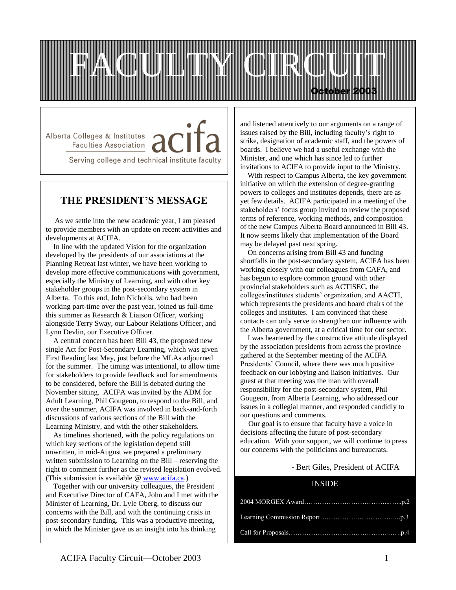

Alberta Colleges & Institutes / Faculties Association

Serving college and technical institute faculty

## **THE PRESIDENT'S MESSAGE**

 As we settle into the new academic year, I am pleased to provide members with an update on recent activities and developments at ACIFA.

 In line with the updated Vision for the organization developed by the presidents of our associations at the Planning Retreat last winter, we have been working to develop more effective communications with government, especially the Ministry of Learning, and with other key stakeholder groups in the post-secondary system in Alberta. To this end, John Nicholls, who had been working part-time over the past year, joined us full-time this summer as Research & Liaison Officer, working alongside Terry Sway, our Labour Relations Officer, and Lynn Devlin, our Executive Officer.

 A central concern has been Bill 43, the proposed new single Act for Post-Secondary Learning, which was given First Reading last May, just before the MLAs adjourned for the summer. The timing was intentional, to allow time for stakeholders to provide feedback and for amendments to be considered, before the Bill is debated during the November sitting. ACIFA was invited by the ADM for Adult Learning, Phil Gougeon, to respond to the Bill, and over the summer, ACIFA was involved in back-and-forth discussions of various sections of the Bill with the Learning Ministry, and with the other stakeholders.

 As timelines shortened, with the policy regulations on which key sections of the legislation depend still unwritten, in mid-August we prepared a preliminary written submission to Learning on the Bill – reserving the right to comment further as the revised legislation evolved. (This submission is available @ [www.acifa.ca.](http://www.acifa.ca/))

**1.** and Executive Director of CAFA, John and I met with the Together with our university colleagues, the President Minister of Learning, Dr. Lyle Oberg, to discuss our concerns with the Bill, and with the continuing crisis in post-secondary funding. This was a productive meeting, in which the Minister gave us an insight into his thinking

and listened attentively to our arguments on a range of issues raised by the Bill, including faculty's right to strike, designation of academic staff, and the powers of boards. I believe we had a useful exchange with the Minister, and one which has since led to further invitations to ACIFA to provide input to the Ministry.

 With respect to Campus Alberta, the key government initiative on which the extension of degree-granting powers to colleges and institutes depends, there are as yet few details. ACIFA participated in a meeting of the stakeholders' focus group invited to review the proposed terms of reference, working methods, and composition of the new Campus Alberta Board announced in Bill 43. It now seems likely that implementation of the Board may be delayed past next spring.

 On concerns arising from Bill 43 and funding shortfalls in the post-secondary system, ACIFA has been working closely with our colleagues from CAFA, and has begun to explore common ground with other provincial stakeholders such as ACTISEC, the colleges/institutes students' organization, and AACTI, which represents the presidents and board chairs of the colleges and institutes. I am convinced that these contacts can only serve to strengthen our influence with the Alberta government, at a critical time for our sector.

 I was heartened by the constructive attitude displayed by the association presidents from across the province gathered at the September meeting of the ACIFA Presidents' Council, where there was much positive feedback on our lobbying and liaison initiatives. Our guest at that meeting was the man with overall responsibility for the post-secondary system, Phil Gougeon, from Alberta Learning, who addressed our issues in a collegial manner, and responded candidly to our questions and comments.

 Our goal is to ensure that faculty have a voice in decisions affecting the future of post-secondary education. With your support, we will continue to press our concerns with the politicians and bureaucrats.

## - Bert Giles, President of ACIFA

### INSIDE

l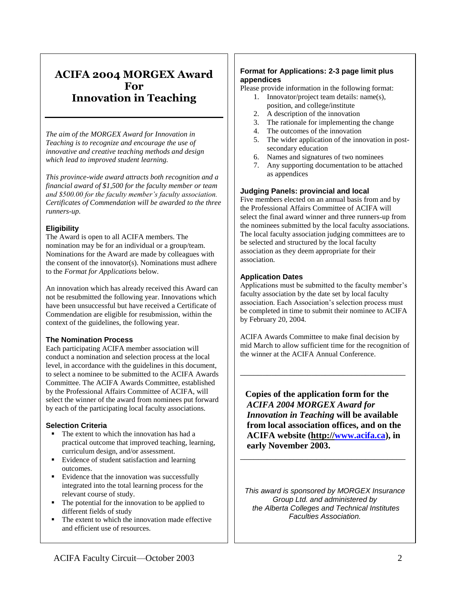## **ACIFA 2004 MORGEX Award For Innovation in Teaching**

*The aim of the MORGEX Award for Innovation in Teaching is to recognize and encourage the use of innovative and creative teaching methods and design which lead to improved student learning.*

*This province-wide award attracts both recognition and a* **Book Review** *financial award of \$1,500 for the faculty member or team and \$500.00 for the faculty member's faculty association. Certificates of Commendation will be awarded to the three runners-up.*

## **Eligibility**

The Award is open to all ACIFA members. The nomination may be for an individual or a group/team. Nominations for the Award are made by colleagues with the consent of the innovator(s). Nominations must adhere to the *Format for Applications* below.

An innovation which has already received this Award can not be resubmitted the following year. Innovations which have been unsuccessful but have received a Certificate of Commendation are eligible for resubmission, within the context of the guidelines, the following year.

### **The Nomination Process**

Each participating ACIFA member association will conduct a nomination and selection process at the local level, in accordance with the guidelines in this document, to select a nominee to be submitted to the ACIFA Awards Committee. The ACIFA Awards Committee, established by the Professional Affairs Committee of ACIFA, will select the winner of the award from nominees put forward by each of the participating local faculty associations.

### **Selection Criteria**

- The extent to which the innovation has had a practical outcome that improved teaching, learning, curriculum design, and/or assessment.
- Evidence of student satisfaction and learning outcomes.
- Evidence that the innovation was successfully integrated into the total learning process for the relevant course of study.
- The potential for the innovation to be applied to different fields of study
- The extent to which the innovation made effective and efficient use of resources.

### **Format for Applications: 2-3 page limit plus appendices**

Please provide information in the following format:

- 1. Innovator/project team details: name(s), position, and college/institute
- 2. A description of the innovation
- 3. The rationale for implementing the change
- 4. The outcomes of the innovation
- 5. The wider application of the innovation in postsecondary education
- 6. Names and signatures of two nominees
- 7. Any supporting documentation to be attached as appendices

### **Judging Panels: provincial and local**

Five members elected on an annual basis from and by the Professional Affairs Committee of ACIFA will select the final award winner and three runners-up from the nominees submitted by the local faculty associations. The local faculty association judging committees are to be selected and structured by the local faculty association as they deem appropriate for their association.

## **Application Dates**

Applications must be submitted to the faculty member's faculty association by the date set by local faculty association. Each Association's selection process must be completed in time to submit their nominee to ACIFA by February 20, 2004.

ACIFA Awards Committee to make final decision by mid March to allow sufficient time for the recognition of the winner at the ACIFA Annual Conference.

\_\_\_\_\_\_\_\_\_\_\_\_\_\_\_\_\_\_\_\_\_\_\_\_\_\_\_\_\_\_\_\_\_\_\_\_\_

 **Copies of the application form for the**  *ACIFA 2004 MORGEX Award for Innovation in Teaching* **will be available from local association offices, and on the ACIFA website (http:/[/www.acifa.ca\)](http://www.acifa.ca/), in early November 2003.**

\_\_\_\_\_\_\_\_\_\_\_\_\_\_\_\_\_\_\_\_\_\_\_\_\_\_\_\_\_\_\_\_\_\_\_\_\_

*This award is sponsored by MORGEX Insurance Group Ltd. and administered by the Alberta Colleges and Technical Institutes Faculties Association.*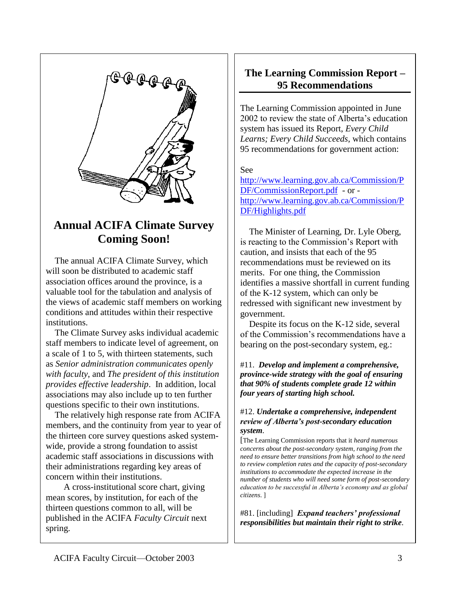

## **Annual ACIFA Climate Survey Coming Soon!**

 The annual ACIFA Climate Survey, which will soon be distributed to academic staff association offices around the province, is a valuable tool for the tabulation and analysis of the views of academic staff members on working conditions and attitudes within their respective institutions.

 The Climate Survey asks individual academic staff members to indicate level of agreement, on a scale of 1 to 5, with thirteen statements, such as *Senior administration communicates openly with faculty*, and *The president of this institution provides effective leadership*. In addition, local associations may also include up to ten further questions specific to their own institutions.

 The relatively high response rate from ACIFA members, and the continuity from year to year of the thirteen core survey questions asked systemwide, provide a strong foundation to assist academic staff associations in discussions with their administrations regarding key areas of concern within their institutions.

 A cross-institutional score chart, giving mean scores, by institution, for each of the thirteen questions common to all, will be published in the ACIFA *Faculty Circuit* next spring.

## **The Learning Commission Report – 95 Recommendations**

The Learning Commission appointed in June 2002 to review the state of Alberta's education system has issued its Report, *Every Child Learns; Every Child Succeeds*, which contains 95 recommendations for government action:

## See

[http://www.learning.gov.ab.ca/Commission/P](http://www.learning.gov.ab.ca/Commission/PDF/CommissionReport.pdf) [DF/CommissionReport.pdf](http://www.learning.gov.ab.ca/Commission/PDF/CommissionReport.pdf) - or [http://www.learning.gov.ab.ca/Commission/P](http://www.learning.gov.ab.ca/Commission/PDF/Highlights.pdf) [DF/Highlights.pdf](http://www.learning.gov.ab.ca/Commission/PDF/Highlights.pdf)

 The Minister of Learning, Dr. Lyle Oberg, is reacting to the Commission's Report with caution, and insists that each of the 95 recommendations must be reviewed on its merits. For one thing, the Commission identifies a massive shortfall in current funding of the K-12 system, which can only be redressed with significant new investment by government.

 Despite its focus on the K-12 side, several of the Commission's recommendations have a bearing on the post-secondary system, eg.:

#11. *Develop and implement a comprehensive, province-wide strategy with the goal of ensuring that 90% of students complete grade 12 within four years of starting high school.*

## #12. *Undertake a comprehensive, independent review of Alberta's post-secondary education system.*

[The Learning Commission reports that it *heard numerous concerns about the post-secondary system, ranging from the need to ensure better transitions from high school to the need to review completion rates and the capacity of post-secondary institutions to accommodate the expected increase in the number of students who will need some form of post-secondary education to be successful in Alberta's economy and as global citizens*. ]

#81. [including] *Expand teachers' professional responsibilities but maintain their right to strike.*